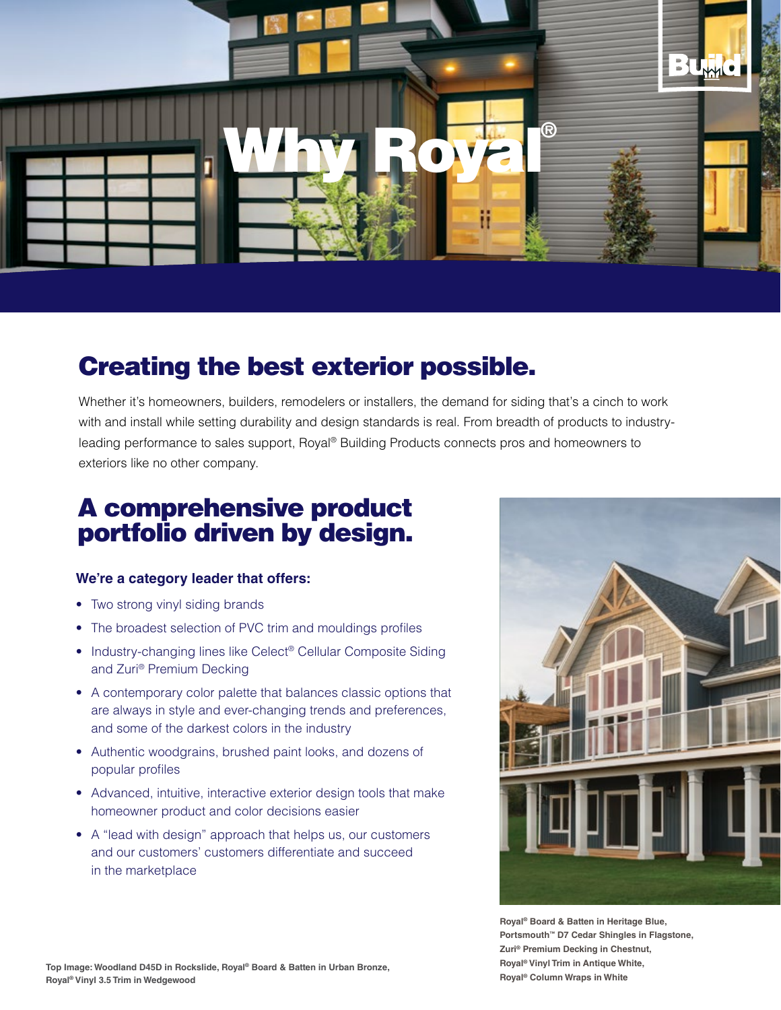

### Creating the best exterior possible.

Whether it's homeowners, builders, remodelers or installers, the demand for siding that's a cinch to work with and install while setting durability and design standards is real. From breadth of products to industryleading performance to sales support, Royal® Building Products connects pros and homeowners to exteriors like no other company.

## A comprehensive product portfolio driven by design.

#### **We're a category leader that offers:**

- Two strong vinyl siding brands
- The broadest selection of PVC trim and mouldings profiles
- Industry-changing lines like Celect® Cellular Composite Siding and Zuri® Premium Decking
- A contemporary color palette that balances classic options that are always in style and ever-changing trends and preferences, and some of the darkest colors in the industry
- Authentic woodgrains, brushed paint looks, and dozens of popular profiles
- Advanced, intuitive, interactive exterior design tools that make homeowner product and color decisions easier
- A "lead with design" approach that helps us, our customers and our customers' customers differentiate and succeed in the marketplace



**Royal® Board & Batten in Heritage Blue, Portsmouth™ D7 Cedar Shingles in Flagstone, Zuri® Premium Decking in Chestnut, Royal® Vinyl Trim in Antique White, Royal® Column Wraps in White**